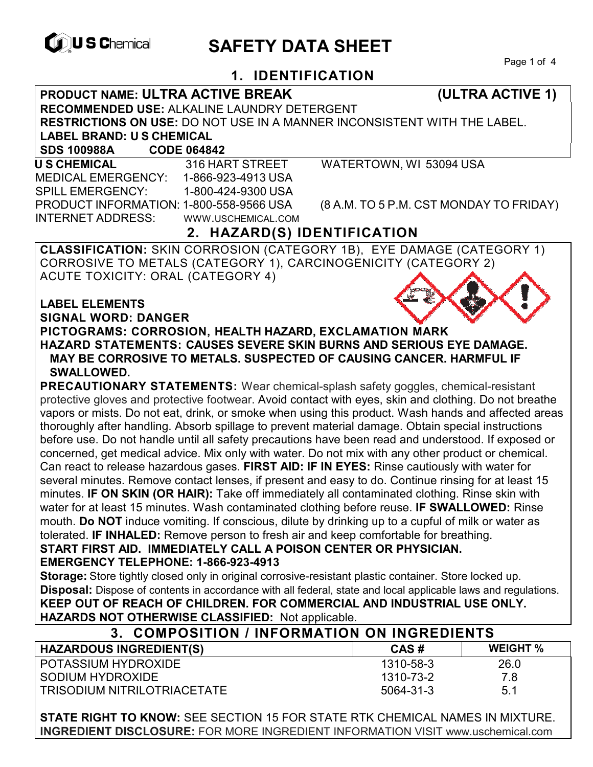

# **EXAGREM** SAFETY DATA SHEET

Page 1 of 4

## **1. IDENTIFICATION**

**PRODUCT NAME: ULTRA ACTIVE BREAK (ULTRA ACTIVE 1)** 

**RECOMMENDED USE:** ALKALINE LAUNDRY DETERGENT

**RESTRICTIONS ON USE:** DO NOT USE IN A MANNER INCONSISTENT WITH THE LABEL.

**LABEL BRAND: U S CHEMICAL**

**SDS 100988A CODE 064842** 

 **U S CHEMICAL** 316 HART STREET WATERTOWN, WI 53094 USA MEDICAL EMERGENCY: 1-866-923-4913 USA SPILL EMERGENCY: 1-800-424-9300 USA INTERNET ADDRESS: WWW.USCHEMICAL.COM

PRODUCT INFORMATION: 1-800-558-9566 USA (8 A.M. TO 5 P.M. CST MONDAY TO FRIDAY)

# **2. HAZARD(S) IDENTIFICATION**

**CLASSIFICATION:** SKIN CORROSION (CATEGORY 1B), EYE DAMAGE (CATEGORY 1) CORROSIVE TO METALS (CATEGORY 1), CARCINOGENICITY (CATEGORY 2) ACUTE TOXICITY: ORAL (CATEGORY 4)

**LABEL ELEMENTS SIGNAL WORD: DANGER**



**PICTOGRAMS: CORROSION, HEALTH HAZARD, EXCLAMATION MARK HAZARD STATEMENTS: CAUSES SEVERE SKIN BURNS AND SERIOUS EYE DAMAGE. MAY BE CORROSIVE TO METALS. SUSPECTED OF CAUSING CANCER. HARMFUL IF SWALLOWED.** 

**PRECAUTIONARY STATEMENTS:** Wear chemical-splash safety goggles, chemical-resistant protective gloves and protective footwear. Avoid contact with eyes, skin and clothing. Do not breathe vapors or mists. Do not eat, drink, or smoke when using this product. Wash hands and affected areas thoroughly after handling. Absorb spillage to prevent material damage. Obtain special instructions before use. Do not handle until all safety precautions have been read and understood. If exposed or concerned, get medical advice. Mix only with water. Do not mix with any other product or chemical. Can react to release hazardous gases. **FIRST AID: IF IN EYES:** Rinse cautiously with water for several minutes. Remove contact lenses, if present and easy to do. Continue rinsing for at least 15 minutes. **IF ON SKIN (OR HAIR):** Take off immediately all contaminated clothing. Rinse skin with water for at least 15 minutes. Wash contaminated clothing before reuse. **IF SWALLOWED:** Rinse mouth. **Do NOT** induce vomiting. If conscious, dilute by drinking up to a cupful of milk or water as tolerated. **IF INHALED:** Remove person to fresh air and keep comfortable for breathing.

**START FIRST AID. IMMEDIATELY CALL A POISON CENTER OR PHYSICIAN. EMERGENCY TELEPHONE: 1-866-923-4913** 

**Storage:** Store tightly closed only in original corrosive-resistant plastic container. Store locked up. **Disposal:** Dispose of contents in accordance with all federal, state and local applicable laws and regulations. **KEEP OUT OF REACH OF CHILDREN. FOR COMMERCIAL AND INDUSTRIAL USE ONLY. HAZARDS NOT OTHERWISE CLASSIFIED:** Not applicable.

## **3. COMPOSITION / INFORMATION ON INGREDIENTS**

| <b>HAZARDOUS INGREDIENT(S)</b>     | CAS#      | <b>WEIGHT %</b> |
|------------------------------------|-----------|-----------------|
| POTASSIUM HYDROXIDE                | 1310-58-3 | 26.0            |
| SODIUM HYDROXIDE                   | 1310-73-2 | 7.8             |
| <b>TRISODIUM NITRILOTRIACETATE</b> | 5064-31-3 | 5.1             |

**STATE RIGHT TO KNOW:** SEE SECTION 15 FOR STATE RTK CHEMICAL NAMES IN MIXTURE. **INGREDIENT DISCLOSURE:** FOR MORE INGREDIENT INFORMATION VISIT www.uschemical.com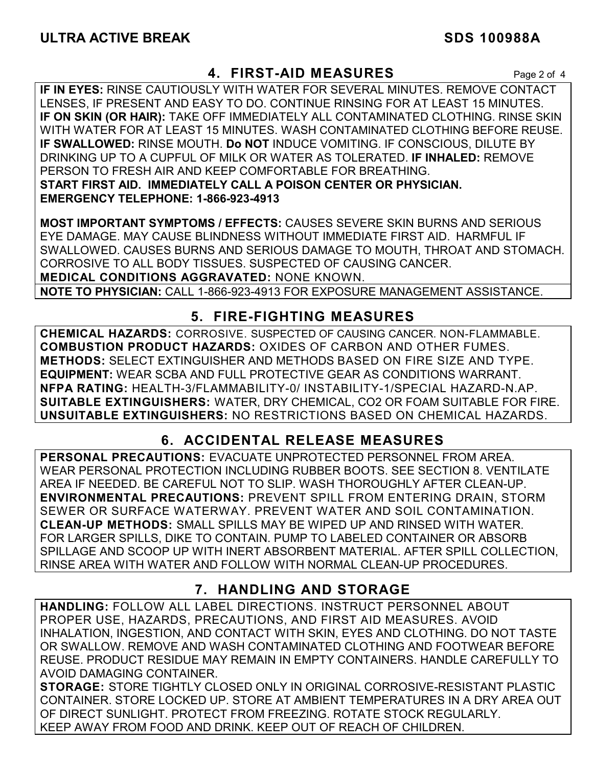#### **4. FIRST-AID MEASURES** Page 2 of 4

**IF IN EYES:** RINSE CAUTIOUSLY WITH WATER FOR SEVERAL MINUTES. REMOVE CONTACT LENSES, IF PRESENT AND EASY TO DO. CONTINUE RINSING FOR AT LEAST 15 MINUTES. **IF ON SKIN (OR HAIR):** TAKE OFF IMMEDIATELY ALL CONTAMINATED CLOTHING. RINSE SKIN WITH WATER FOR AT LEAST 15 MINUTES. WASH CONTAMINATED CLOTHING BEFORE REUSE. **IF SWALLOWED:** RINSE MOUTH. **Do NOT** INDUCE VOMITING. IF CONSCIOUS, DILUTE BY DRINKING UP TO A CUPFUL OF MILK OR WATER AS TOLERATED. **IF INHALED:** REMOVE PERSON TO FRESH AIR AND KEEP COMFORTABLE FOR BREATHING. **START FIRST AID. IMMEDIATELY CALL A POISON CENTER OR PHYSICIAN. EMERGENCY TELEPHONE: 1-866-923-4913**

**MOST IMPORTANT SYMPTOMS / EFFECTS:** CAUSES SEVERE SKIN BURNS AND SERIOUS EYE DAMAGE. MAY CAUSE BLINDNESS WITHOUT IMMEDIATE FIRST AID. HARMFUL IF SWALLOWED. CAUSES BURNS AND SERIOUS DAMAGE TO MOUTH, THROAT AND STOMACH. CORROSIVE TO ALL BODY TISSUES. SUSPECTED OF CAUSING CANCER. **MEDICAL CONDITIONS AGGRAVATED:** NONE KNOWN.

**NOTE TO PHYSICIAN:** CALL 1-866-923-4913 FOR EXPOSURE MANAGEMENT ASSISTANCE.

## **5. FIRE-FIGHTING MEASURES**

**CHEMICAL HAZARDS:** CORROSIVE. SUSPECTED OF CAUSING CANCER. NON-FLAMMABLE. **COMBUSTION PRODUCT HAZARDS:** OXIDES OF CARBON AND OTHER FUMES. **METHODS:** SELECT EXTINGUISHER AND METHODS BASED ON FIRE SIZE AND TYPE. **EQUIPMENT:** WEAR SCBA AND FULL PROTECTIVE GEAR AS CONDITIONS WARRANT. **NFPA RATING:** HEALTH-3/FLAMMABILITY-0/ INSTABILITY-1/SPECIAL HAZARD-N.AP. **SUITABLE EXTINGUISHERS:** WATER, DRY CHEMICAL, CO2 OR FOAM SUITABLE FOR FIRE. **UNSUITABLE EXTINGUISHERS:** NO RESTRICTIONS BASED ON CHEMICAL HAZARDS.

## **6. ACCIDENTAL RELEASE MEASURES**

**PERSONAL PRECAUTIONS:** EVACUATE UNPROTECTED PERSONNEL FROM AREA. WEAR PERSONAL PROTECTION INCLUDING RUBBER BOOTS. SEE SECTION 8. VENTILATE AREA IF NEEDED. BE CAREFUL NOT TO SLIP. WASH THOROUGHLY AFTER CLEAN-UP. **ENVIRONMENTAL PRECAUTIONS:** PREVENT SPILL FROM ENTERING DRAIN, STORM SEWER OR SURFACE WATERWAY. PREVENT WATER AND SOIL CONTAMINATION. **CLEAN-UP METHODS:** SMALL SPILLS MAY BE WIPED UP AND RINSED WITH WATER. FOR LARGER SPILLS, DIKE TO CONTAIN. PUMP TO LABELED CONTAINER OR ABSORB SPILLAGE AND SCOOP UP WITH INERT ABSORBENT MATERIAL. AFTER SPILL COLLECTION, RINSE AREA WITH WATER AND FOLLOW WITH NORMAL CLEAN-UP PROCEDURES.

### **7. HANDLING AND STORAGE**

**HANDLING:** FOLLOW ALL LABEL DIRECTIONS. INSTRUCT PERSONNEL ABOUT PROPER USE, HAZARDS, PRECAUTIONS, AND FIRST AID MEASURES. AVOID INHALATION, INGESTION, AND CONTACT WITH SKIN, EYES AND CLOTHING. DO NOT TASTE OR SWALLOW. REMOVE AND WASH CONTAMINATED CLOTHING AND FOOTWEAR BEFORE REUSE. PRODUCT RESIDUE MAY REMAIN IN EMPTY CONTAINERS. HANDLE CAREFULLY TO AVOID DAMAGING CONTAINER.

**STORAGE:** STORE TIGHTLY CLOSED ONLY IN ORIGINAL CORROSIVE-RESISTANT PLASTIC CONTAINER. STORE LOCKED UP. STORE AT AMBIENT TEMPERATURES IN A DRY AREA OUT OF DIRECT SUNLIGHT. PROTECT FROM FREEZING. ROTATE STOCK REGULARLY. KEEP AWAY FROM FOOD AND DRINK. KEEP OUT OF REACH OF CHILDREN.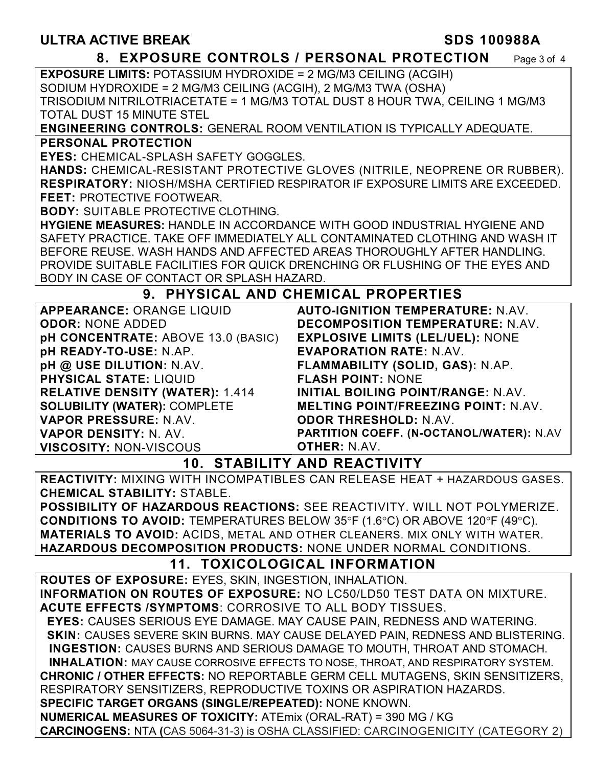#### **8. EXPOSURE CONTROLS / PERSONAL PROTECTION** Page 3 of 4

**EXPOSURE LIMITS:** POTASSIUM HYDROXIDE = 2 MG/M3 CEILING (ACGIH) SODIUM HYDROXIDE = 2 MG/M3 CEILING (ACGIH), 2 MG/M3 TWA (OSHA) TRISODIUM NITRILOTRIACETATE = 1 MG/M3 TOTAL DUST 8 HOUR TWA, CEILING 1 MG/M3 TOTAL DUST 15 MINUTE STEL

**ENGINEERING CONTROLS:** GENERAL ROOM VENTILATION IS TYPICALLY ADEQUATE. **PERSONAL PROTECTION** 

**EYES:** CHEMICAL-SPLASH SAFETY GOGGLES.

**HANDS:** CHEMICAL-RESISTANT PROTECTIVE GLOVES (NITRILE, NEOPRENE OR RUBBER). **RESPIRATORY:** NIOSH/MSHA CERTIFIED RESPIRATOR IF EXPOSURE LIMITS ARE EXCEEDED. **FEET:** PROTECTIVE FOOTWEAR.

**BODY:** SUITABLE PROTECTIVE CLOTHING.

**HYGIENE MEASURES:** HANDLE IN ACCORDANCE WITH GOOD INDUSTRIAL HYGIENE AND SAFETY PRACTICE. TAKE OFF IMMEDIATELY ALL CONTAMINATED CLOTHING AND WASH IT BEFORE REUSE. WASH HANDS AND AFFECTED AREAS THOROUGHLY AFTER HANDLING. PROVIDE SUITABLE FACILITIES FOR QUICK DRENCHING OR FLUSHING OF THE EYES AND BODY IN CASE OF CONTACT OR SPLASH HAZARD.

### **9. PHYSICAL AND CHEMICAL PROPERTIES**

| <b>APPEARANCE: ORANGE LIQUID</b>       | <b>AUTO-IGNITION TEMPERATURE: N.AV.</b>    |
|----------------------------------------|--------------------------------------------|
| <b>ODOR: NONE ADDED</b>                | DECOMPOSITION TEMPERATURE: N.AV.           |
| pH CONCENTRATE: ABOVE 13.0 (BASIC)     | <b>EXPLOSIVE LIMITS (LEL/UEL): NONE</b>    |
| pH READY-TO-USE: N.AP.                 | <b>EVAPORATION RATE: N.AV.</b>             |
| pH @ USE DILUTION: N.AV.               | FLAMMABILITY (SOLID, GAS): N.AP.           |
| <b>PHYSICAL STATE: LIQUID</b>          | <b>FLASH POINT: NONE</b>                   |
| <b>RELATIVE DENSITY (WATER): 1.414</b> | <b>INITIAL BOILING POINT/RANGE: N.AV.</b>  |
| <b>SOLUBILITY (WATER): COMPLETE</b>    | <b>MELTING POINT/FREEZING POINT: N.AV.</b> |
| VAPOR PRESSURE: N.AV.                  | <b>ODOR THRESHOLD: N.AV.</b>               |
| <b>VAPOR DENSITY: N. AV.</b>           | PARTITION COEFF. (N-OCTANOL/WATER): N.AV   |
| <b>VISCOSITY: NON-VISCOUS</b>          | <b>OTHER: N.AV.</b>                        |

#### **10. STABILITY AND REACTIVITY**

**REACTIVITY:** MIXING WITH INCOMPATIBLES CAN RELEASE HEAT + HAZARDOUS GASES. **CHEMICAL STABILITY:** STABLE.

**POSSIBILITY OF HAZARDOUS REACTIONS:** SEE REACTIVITY. WILL NOT POLYMERIZE. **CONDITIONS TO AVOID:** TEMPERATURES BELOW 35°F (1.6°C) OR ABOVE 120°F (49°C). **MATERIALS TO AVOID:** ACIDS, METAL AND OTHER CLEANERS. MIX ONLY WITH WATER. **HAZARDOUS DECOMPOSITION PRODUCTS:** NONE UNDER NORMAL CONDITIONS.

### **11. TOXICOLOGICAL INFORMATION**

**ROUTES OF EXPOSURE:** EYES, SKIN, INGESTION, INHALATION. **INFORMATION ON ROUTES OF EXPOSURE:** NO LC50/LD50 TEST DATA ON MIXTURE. **ACUTE EFFECTS /SYMPTOMS**: CORROSIVE TO ALL BODY TISSUES.  **EYES:** CAUSES SERIOUS EYE DAMAGE. MAY CAUSE PAIN, REDNESS AND WATERING.  **SKIN:** CAUSES SEVERE SKIN BURNS. MAY CAUSE DELAYED PAIN, REDNESS AND BLISTERING. **INGESTION:** CAUSES BURNS AND SERIOUS DAMAGE TO MOUTH, THROAT AND STOMACH. **INHALATION:** MAY CAUSE CORROSIVE EFFECTS TO NOSE, THROAT, AND RESPIRATORY SYSTEM. **CHRONIC / OTHER EFFECTS:** NO REPORTABLE GERM CELL MUTAGENS, SKIN SENSITIZERS, RESPIRATORY SENSITIZERS, REPRODUCTIVE TOXINS OR ASPIRATION HAZARDS. **SPECIFIC TARGET ORGANS (SINGLE/REPEATED):** NONE KNOWN. **NUMERICAL MEASURES OF TOXICITY:** ATEmix (ORAL-RAT) = 390 MG / KG **CARCINOGENS:** NTA **(**CAS 5064-31-3) is OSHA CLASSIFIED: CARCINOGENICITY (CATEGORY 2)